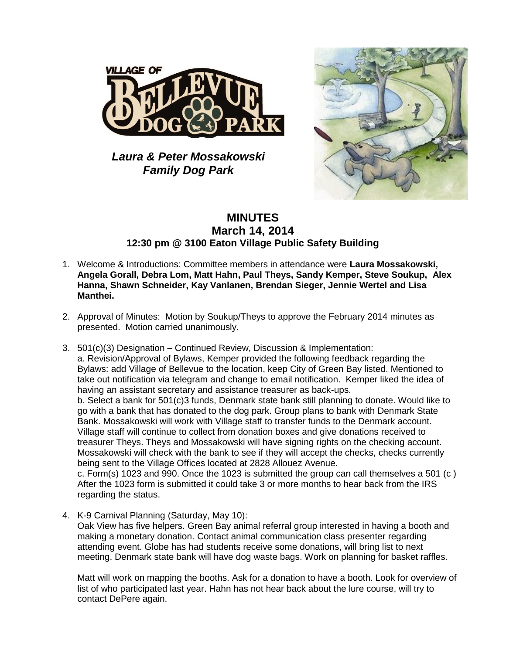

*Laura & Peter Mossakowski Family Dog Park*



## **MINUTES March 14, 2014 12:30 pm @ 3100 Eaton Village Public Safety Building**

- 1. Welcome & Introductions: Committee members in attendance were **Laura Mossakowski, Angela Gorall, Debra Lom, Matt Hahn, Paul Theys, Sandy Kemper, Steve Soukup, Alex Hanna, Shawn Schneider, Kay Vanlanen, Brendan Sieger, Jennie Wertel and Lisa Manthei.**
- 2. Approval of Minutes: Motion by Soukup/Theys to approve the February 2014 minutes as presented. Motion carried unanimously.
- 3. 501(c)(3) Designation Continued Review, Discussion & Implementation: a. Revision/Approval of Bylaws, Kemper provided the following feedback regarding the Bylaws: add Village of Bellevue to the location, keep City of Green Bay listed. Mentioned to take out notification via telegram and change to email notification. Kemper liked the idea of having an assistant secretary and assistance treasurer as back-ups.

b. Select a bank for 501(c)3 funds, Denmark state bank still planning to donate. Would like to go with a bank that has donated to the dog park. Group plans to bank with Denmark State Bank. Mossakowski will work with Village staff to transfer funds to the Denmark account. Village staff will continue to collect from donation boxes and give donations received to treasurer Theys. Theys and Mossakowski will have signing rights on the checking account. Mossakowski will check with the bank to see if they will accept the checks, checks currently being sent to the Village Offices located at 2828 Allouez Avenue.

c. Form(s) 1023 and 990. Once the 1023 is submitted the group can call themselves a 501 (c ) After the 1023 form is submitted it could take 3 or more months to hear back from the IRS regarding the status.

4. K-9 Carnival Planning (Saturday, May 10): Oak View has five helpers. Green Bay animal referral group interested in having a booth and making a monetary donation. Contact animal communication class presenter regarding attending event. Globe has had students receive some donations, will bring list to next meeting. Denmark state bank will have dog waste bags. Work on planning for basket raffles.

Matt will work on mapping the booths. Ask for a donation to have a booth. Look for overview of list of who participated last year. Hahn has not hear back about the lure course, will try to contact DePere again.